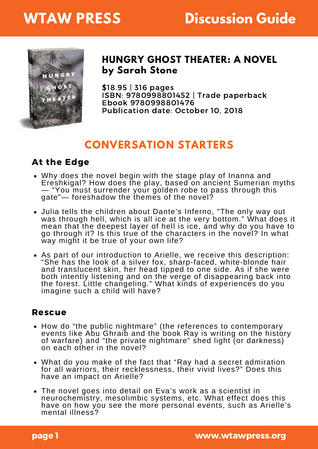# **WTAW PRESS**



# **HUNGRY GHOST THEATER: A NOVEL by Sarah Stone**

\$18.95 | 316 pages ISBN: 9780998801452 | Trade paperback Ebook 9780998801476 Publication date: October 10, 2018

# **CONVERSATION STARTERS**

## At the Edge

- Why does the novel begin with the stage play of Inanna and Ereshkigal? How does the play, based on ancient Sumerian myths — "You must surrender your golden robe to pass through this gate"— foreshadow the themes of the novel?
- Julia tells the children about Dante's Inferno, "The only way out was through hell, which is all ice at the very bottom." What does it mean that the deepest layer of hell is ice, and why do you have to go through it? Is this true of the characters in the novel? In what way might it be true of your own life?
- As part of our introduction to Arielle, we receive this description: "She has the look of a silver fox, sharp-faced, white-blonde hair and translucent skin, her head tipped to one side. As if she were both intently listening and on the verge of disappearing back into the forest. Little changeling." What kinds of experiences do you imagine such a child will have?

#### Rescue

- How do "the public nightmare" (the references to contemporary events like Abu Ghraib and the book Ray is writing on the history of warfare) and "the private nightmare" shed light (or darkness) on each other in the novel?
- What do you make of the fact that "Ray had a secret admiration for all warriors, their recklessness, their vivid lives?" Does this have an impact on Arielle?
- The novel goes into detail on Eva's work as a scientist in neurochemistry, mesolimbic systems, etc. What effect does this have on how you see the more personal events, such as Arielle's mental illness?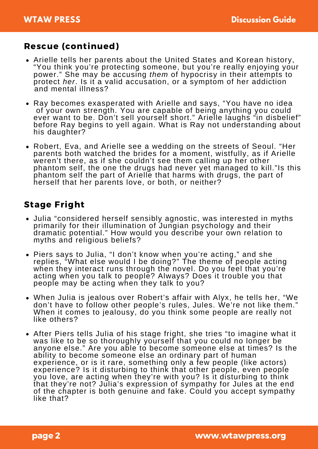#### Rescue (continued)

- Arielle tells her parents about the United States and Korean history, "You think you're protecting someone, but you're really enjoying your power." She may be accusing *them* of hypocrisy in their attempts to protect *her*. Is it a valid accusation, or a symptom of her addiction and mental illness?
- Ray becomes exasperated with Arielle and says, "You have no idea of your own strength. You are capable of being anything you could ever want to be. Don't sell yourself short." Arielle laughs "in disbelief" before Ray begins to yell again. What is Ray not understanding about his daughter?
- Robert, Eva, and Arielle see a wedding on the streets of Seoul. "Her parents both watched the brides for a moment, wistfully, as if Arielle weren't there, as if she couldn't see them calling up her other phantom self, the one the drugs had never yet managed to kill."Is this phantom self the part of Arielle that harms with drugs, the part of herself that her parents love, or both, or neither?

#### Stage Fright

- Julia "considered herself sensibly agnostic, was interested in myths primarily for their illumination of Jungian psychology and their dramatic potential." How would you describe your own relation to myths and religious beliefs?
- Piers says to Julia, "I don't know when you're acting," and she replies, "What else would I be doing?" The theme of people acting when they interact runs through the novel. Do you feel that you're acting when you talk to people? Always? Does it trouble you that people may be acting when they talk to you?
- When Julia is jealous over Robert's affair with Alyx, he tells her, "We don't have to follow other people's rules, Jules. We're not like them." When it comes to jealousy, do you think some people are really not like others?
- After Piers tells Julia of his stage fright, she tries "to imagine what it was like to be so thoroughly yourself that you could no longer be anyone else." Are you able to become someone else at times? Is the ability to become someone else an ordinary part of human experience, or is it rare, something only a few people (like actors) experience? Is it disturbing to think that other people, even people you love, are acting when they're with you? Is it disturbing to think that they're not? Julia's expression of sympathy for Jules at the end of the chapter is both genuine and fake. Could you accept sympathy like that?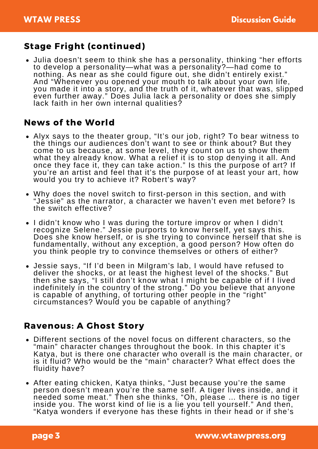#### Stage Fright (continued)

Julia doesn't seem to think she has a personality, thinking "her efforts to develop a personality—what was a personality?—had come to nothing. As near as she could figure out, she didn't entirely exist." And "Whenever you opened your mouth to talk about your own life, you made it into a story, and the truth of it, whatever that was, slipped even further away." Does Julia lack a personality or does she simply lack faith in her own internal qualities?

#### News of the World

- Alyx says to the theater group, "It's our job, right? To bear witness to the things our audiences don't want to see or think about? But they come to us because, at some level, they count on us to show them what they already know. What a relief it is to stop denying it all. And once they face it, they can take action." Is this the purpose of art? If you're an artist and feel that it's the purpose of at least your art, how would you try to achieve it? Robert's way?
- Why does the novel switch to first-person in this section, and with "Jessie" as the narrator, a character we haven't even met before? Is the switch effective?
- I didn't know who I was during the torture improv or when I didn't recognize Selene." Jessie purports to know herself, yet says this. Does she know herself, or is she trying to convince herself that she is fundamentally, without any exception, a good person? How often do you think people try to convince themselves or others of either?
- Jessie says, "If I'd been in Milgram's lab, I would have refused to deliver the shocks, or at least the highest level of the shocks." But then she says, "I still don't know what I might be capable of if I lived indefinitely in the country of the strong." Do you believe that anyone is capable of anything, of torturing other people in the "right" circumstances? Would you be capable of anything?

#### Ravenous: A Ghost Story

- Different sections of the novel focus on different characters, so the "main" character changes throughout the book. In this chapter it's Katya, but is there one character who overall is the main character, or is it fluid? Who would be the "main" character? What effect does the fluidity have?
- After eating chicken, Katya thinks, "Just because you're the same person doesn't mean you're the same self. A tiger lives inside, and it needed some meat." Then she thinks, "Oh, please … there is no tiger inside you. The worst kind of lie is a lie you tell yourself." And then, "Katya wonders if everyone has these fights in their head or if she's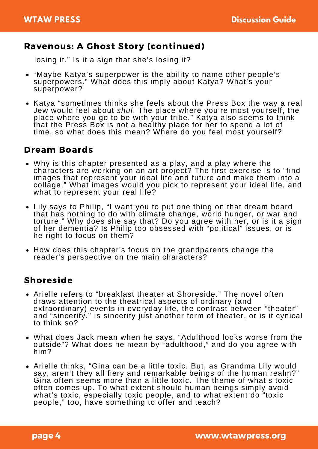#### Ravenous: A Ghost Story (continued)

losing it." Is it a sign that she's losing it?

- "Maybe Katya's superpower is the ability to name other people's superpowers." What does this imply about Katya? What's your superpower?
- Katya "sometimes thinks she feels about the Press Box the way a real Jew would feel about *shul*. The place where you're most yourself, the place where you go to be with your tribe." Katya also seems to think that the Press Box is not a healthy place for her to spend a lot of time, so what does this mean? Where do you feel most yourself?

#### Dream Boards

- Why is this chapter presented as a play, and a play where the characters are working on an art project? The first exercise is to "find images that represent your ideal life and future and make them into a collage." What images would you pick to represent your ideal life, and what to represent your real life?
- Lily says to Philip, "I want you to put one thing on that dream board that has nothing to do with climate change, world hunger, or war and torture." Why does she say that? Do you agree with her, or is it a sign of her dementia? Is Philip too obsessed with "political" issues, or is he right to focus on them?
- How does this chapter's focus on the grandparents change the reader's perspective on the main characters?

#### Shoreside

- Arielle refers to "breakfast theater at Shoreside." The novel often draws attention to the theatrical aspects of ordinary (and extraordinary) events in everyday life, the contrast between "theater" and "sincerity." Is sincerity just another form of theater, or is it cynical to think so?
- What does Jack mean when he says, "Adulthood looks worse from the outside"? What does he mean by "adulthood," and do you agree with him?
- Arielle thinks, "Gina can be a little toxic. But, as Grandma Lily would say, aren't they all fiery and remarkable beings of the human realm?" Gina often seems more than a little toxic. The theme of what's toxic often comes up. To what extent should human beings simply avoid what's toxic, especially toxic people, and to what extent do "toxic people," too, have something to offer and teach?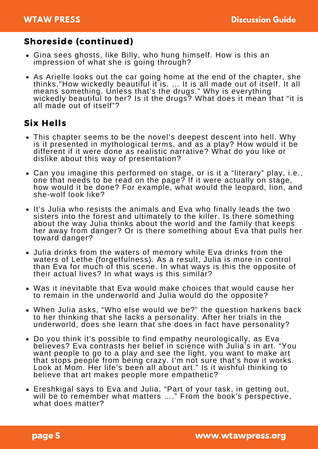#### Shoreside (continued)

- Gina sees ghosts, like Billy, who hung himself. How is this an impression of what she is going through?
- As Arielle looks out the car going home at the end of the chapter, she thinks,"How wickedly beautiful it is. … It is all made out of itself. It all means something. Unless that's the drugs." Why is everything wickedly beautiful to her? Is it the drugs? What does it mean that "it is all made out of itself"?

### Six Hells

- This chapter seems to be the novel's deepest descent into hell. Why is it presented in mythological terms, and as a play? How would it be different if it were done as realistic narrative? What do you like or dislike about this way of presentation?
- Can you imagine this performed on stage, or is it a "literary" play, i.e., one that needs to be read on the page? If it were actually on stage, how would it be done? For example, what would the leopard, lion, and she-wolf look like?
- It's Julia who resists the animals and Eva who finally leads the two sisters into the forest and ultimately to the killer. Is there something about the way Julia thinks about the world and the family that keeps her away from danger? Or is there something about Eva that pulls her toward danger?
- Julia drinks from the waters of memory while Eva drinks from the waters of Lethe (forgetfulness). As a result, Julia is more in control than Eva for much of this scene. In what ways is this the opposite of their actual lives? In what ways is this similar?
- Was it inevitable that Eva would make choices that would cause her to remain in the underworld and Julia would do the opposite?
- When Julia asks, "Who else would we be?" the question harkens back to her thinking that she lacks a personality. After her trials in the underworld, does she learn that she does in fact have personality?
- Do you think it's possible to find empathy neurologically, as Eva believes? Eva contrasts her belief in science with Julia's in art. "You want people to go to a play and see the light, you want to make art that stops people from being crazy. I'm not sure that's how it works. Look at Mom. Her life's been all about art." Is it wishful thinking to believe that art makes people more empathetic?
- Ereshkigal says to Eva and Julia, "Part of your task, in getting out, will be to remember what matters ...." From the book's perspective, what does matter?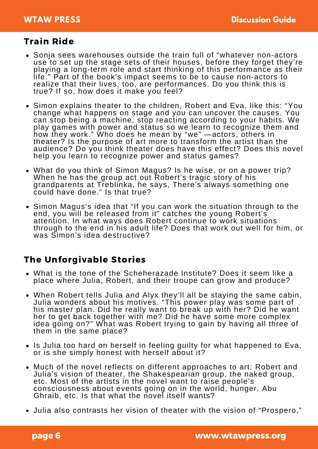#### Train Ride

- Sonia sees warehouses outside the train full of "whatever non-actors" use to set up the stage sets of their houses, before they forget they're playing a long-term role and start thinking of this performance as their life." Part of the book's impact seems to be to cause non-actors to realize that their lives, too, are performances. Do you think this is true? If so, how does it make you feel?
- Simon explains theater to the children, Robert and Eva, like this: "You change what happens on stage and you can uncover the causes. You can stop being a machine, stop reacting according to your habits. We play games with power and status so we learn to recognize them and how they work." Who does he mean by "we" —actors, others in theater? Is the purpose of art more to transform the artist than the audience? Do you think theater does have this effect? Does this novel help you learn to recognize power and status games?
- What do you think of Simon Magus? Is he wise, or on a power trip? When he has the group act out Robert's tragic story of his grandparents at Treblinka, he says, There's always something one could have done." Is that true?
- Simon Magus's idea that "If you can work the situation through to the end, you will be released from it" catches the young Robert's attention. In what ways does Robert continue to work situations through to the end in his adult life? Does that work out well for him, or was Simon's idea destructive?

#### The Unforgivable Stories

- What is the tone of the Scheherazade Institute? Does it seem like a place where Julia, Robert, and their troupe can grow and produce?
- When Robert tells Julia and Alyx they'll all be staying the same cabin, Julia wonders about his motives. "This power play was some part of his master plan. Did he really want to break up with her? Did he want her to get back together with me? Did he have some more complex idea going on?" What was Robert trying to gain by having all three of them in the same place?
- Is Julia too hard on herself in feeling guilty for what happened to Eva, or is she simply honest with herself about it?
- Much of the novel reflects on different approaches to art: Robert and Julia's vision of theater, the Shakespearian group, the naked group, etc. Most of the artists in the novel want to raise people's consciousness about events going on in the world, hunger, Abu Ghraib, etc. Is that what the novel itself wants?
- Julia also contrasts her vision of theater with the vision of "Prospero,"